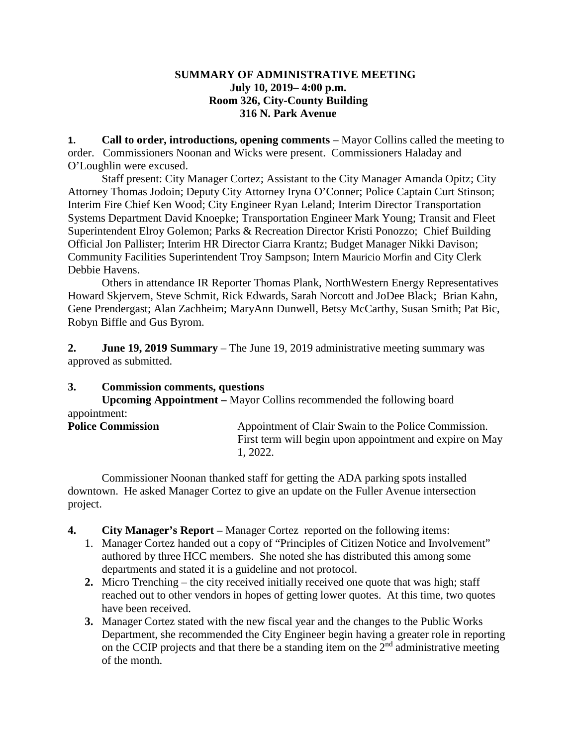## **SUMMARY OF ADMINISTRATIVE MEETING July 10, 2019– 4:00 p.m. Room 326, City-County Building 316 N. Park Avenue**

**1. Call to order, introductions, opening comments** – Mayor Collins called the meeting to order. Commissioners Noonan and Wicks were present. Commissioners Haladay and O'Loughlin were excused.

Staff present: City Manager Cortez; Assistant to the City Manager Amanda Opitz; City Attorney Thomas Jodoin; Deputy City Attorney Iryna O'Conner; Police Captain Curt Stinson; Interim Fire Chief Ken Wood; City Engineer Ryan Leland; Interim Director Transportation Systems Department David Knoepke; Transportation Engineer Mark Young; Transit and Fleet Superintendent Elroy Golemon; Parks & Recreation Director Kristi Ponozzo; Chief Building Official Jon Pallister; Interim HR Director Ciarra Krantz; Budget Manager Nikki Davison; Community Facilities Superintendent Troy Sampson; Intern Mauricio Morfin and City Clerk Debbie Havens.

Others in attendance IR Reporter Thomas Plank, NorthWestern Energy Representatives Howard Skjervem, Steve Schmit, Rick Edwards, Sarah Norcott and JoDee Black; Brian Kahn, Gene Prendergast; Alan Zachheim; MaryAnn Dunwell, Betsy McCarthy, Susan Smith; Pat Bic, Robyn Biffle and Gus Byrom.

**2. June 19, 2019 Summary** – The June 19, 2019 administrative meeting summary was approved as submitted.

# **3. Commission comments, questions**

**Upcoming Appointment –** Mayor Collins recommended the following board appointment:

| <b>Police Commission</b> | Appointment of Clair Swain to the Police Commission.     |
|--------------------------|----------------------------------------------------------|
|                          | First term will begin upon appointment and expire on May |
|                          | 1. 2022.                                                 |

Commissioner Noonan thanked staff for getting the ADA parking spots installed downtown. He asked Manager Cortez to give an update on the Fuller Avenue intersection project.

- **4. City Manager's Report –** Manager Cortez reported on the following items:
	- 1. Manager Cortez handed out a copy of "Principles of Citizen Notice and Involvement" authored by three HCC members. She noted she has distributed this among some departments and stated it is a guideline and not protocol.
	- **2.** Micro Trenching the city received initially received one quote that was high; staff reached out to other vendors in hopes of getting lower quotes. At this time, two quotes have been received.
	- **3.** Manager Cortez stated with the new fiscal year and the changes to the Public Works Department, she recommended the City Engineer begin having a greater role in reporting on the CCIP projects and that there be a standing item on the  $2<sup>nd</sup>$  administrative meeting of the month.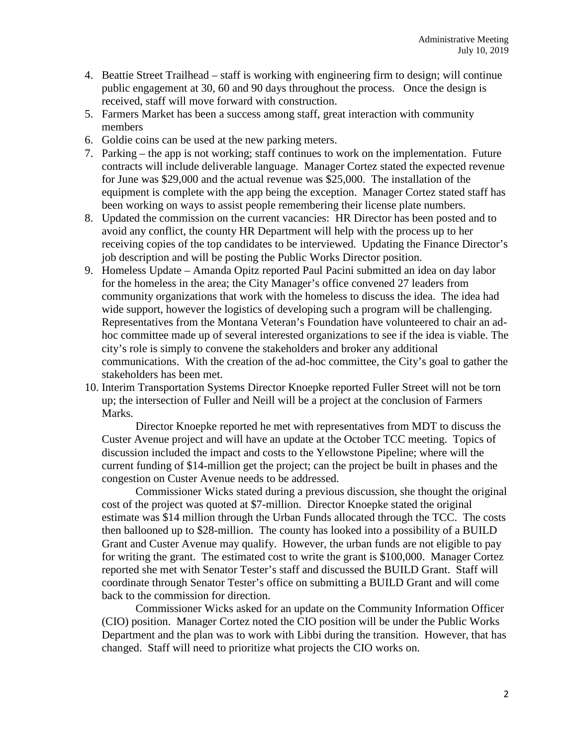- 4. Beattie Street Trailhead staff is working with engineering firm to design; will continue public engagement at 30, 60 and 90 days throughout the process. Once the design is received, staff will move forward with construction.
- 5. Farmers Market has been a success among staff, great interaction with community members
- 6. Goldie coins can be used at the new parking meters.
- 7. Parking the app is not working; staff continues to work on the implementation. Future contracts will include deliverable language. Manager Cortez stated the expected revenue for June was \$29,000 and the actual revenue was \$25,000. The installation of the equipment is complete with the app being the exception. Manager Cortez stated staff has been working on ways to assist people remembering their license plate numbers.
- 8. Updated the commission on the current vacancies: HR Director has been posted and to avoid any conflict, the county HR Department will help with the process up to her receiving copies of the top candidates to be interviewed. Updating the Finance Director's job description and will be posting the Public Works Director position.
- 9. Homeless Update Amanda Opitz reported Paul Pacini submitted an idea on day labor for the homeless in the area; the City Manager's office convened 27 leaders from community organizations that work with the homeless to discuss the idea. The idea had wide support, however the logistics of developing such a program will be challenging. Representatives from the Montana Veteran's Foundation have volunteered to chair an adhoc committee made up of several interested organizations to see if the idea is viable. The city's role is simply to convene the stakeholders and broker any additional communications. With the creation of the ad-hoc committee, the City's goal to gather the stakeholders has been met.
- 10. Interim Transportation Systems Director Knoepke reported Fuller Street will not be torn up; the intersection of Fuller and Neill will be a project at the conclusion of Farmers Marks.

Director Knoepke reported he met with representatives from MDT to discuss the Custer Avenue project and will have an update at the October TCC meeting. Topics of discussion included the impact and costs to the Yellowstone Pipeline; where will the current funding of \$14-million get the project; can the project be built in phases and the congestion on Custer Avenue needs to be addressed.

Commissioner Wicks stated during a previous discussion, she thought the original cost of the project was quoted at \$7-million. Director Knoepke stated the original estimate was \$14 million through the Urban Funds allocated through the TCC. The costs then ballooned up to \$28-million. The county has looked into a possibility of a BUILD Grant and Custer Avenue may qualify. However, the urban funds are not eligible to pay for writing the grant. The estimated cost to write the grant is \$100,000. Manager Cortez reported she met with Senator Tester's staff and discussed the BUILD Grant. Staff will coordinate through Senator Tester's office on submitting a BUILD Grant and will come back to the commission for direction.

Commissioner Wicks asked for an update on the Community Information Officer (CIO) position. Manager Cortez noted the CIO position will be under the Public Works Department and the plan was to work with Libbi during the transition. However, that has changed. Staff will need to prioritize what projects the CIO works on.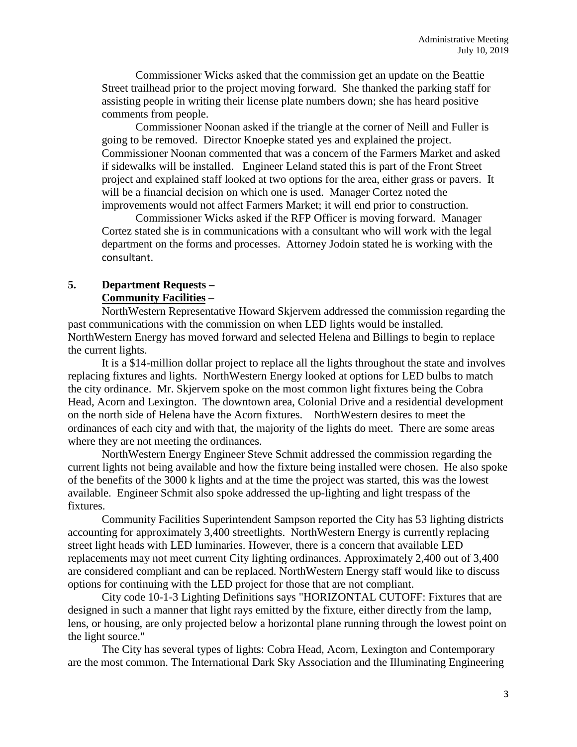Commissioner Wicks asked that the commission get an update on the Beattie Street trailhead prior to the project moving forward. She thanked the parking staff for assisting people in writing their license plate numbers down; she has heard positive comments from people.

Commissioner Noonan asked if the triangle at the corner of Neill and Fuller is going to be removed. Director Knoepke stated yes and explained the project. Commissioner Noonan commented that was a concern of the Farmers Market and asked if sidewalks will be installed. Engineer Leland stated this is part of the Front Street project and explained staff looked at two options for the area, either grass or pavers. It will be a financial decision on which one is used. Manager Cortez noted the improvements would not affect Farmers Market; it will end prior to construction.

Commissioner Wicks asked if the RFP Officer is moving forward. Manager Cortez stated she is in communications with a consultant who will work with the legal department on the forms and processes. Attorney Jodoin stated he is working with the consultant.

### **5. Department Requests – Community Facilities** –

NorthWestern Representative Howard Skjervem addressed the commission regarding the past communications with the commission on when LED lights would be installed. NorthWestern Energy has moved forward and selected Helena and Billings to begin to replace the current lights.

It is a \$14-million dollar project to replace all the lights throughout the state and involves replacing fixtures and lights. NorthWestern Energy looked at options for LED bulbs to match the city ordinance. Mr. Skjervem spoke on the most common light fixtures being the Cobra Head, Acorn and Lexington. The downtown area, Colonial Drive and a residential development on the north side of Helena have the Acorn fixtures. NorthWestern desires to meet the ordinances of each city and with that, the majority of the lights do meet. There are some areas where they are not meeting the ordinances.

NorthWestern Energy Engineer Steve Schmit addressed the commission regarding the current lights not being available and how the fixture being installed were chosen. He also spoke of the benefits of the 3000 k lights and at the time the project was started, this was the lowest available. Engineer Schmit also spoke addressed the up-lighting and light trespass of the fixtures.

Community Facilities Superintendent Sampson reported the City has 53 lighting districts accounting for approximately 3,400 streetlights. NorthWestern Energy is currently replacing street light heads with LED luminaries. However, there is a concern that available LED replacements may not meet current City lighting ordinances. Approximately 2,400 out of 3,400 are considered compliant and can be replaced. NorthWestern Energy staff would like to discuss options for continuing with the LED project for those that are not compliant.

City code 10-1-3 Lighting Definitions says "HORIZONTAL CUTOFF: Fixtures that are designed in such a manner that light rays emitted by the fixture, either directly from the lamp, lens, or housing, are only projected below a horizontal plane running through the lowest point on the light source."

The City has several types of lights: Cobra Head, Acorn, Lexington and Contemporary are the most common. The International Dark Sky Association and the Illuminating Engineering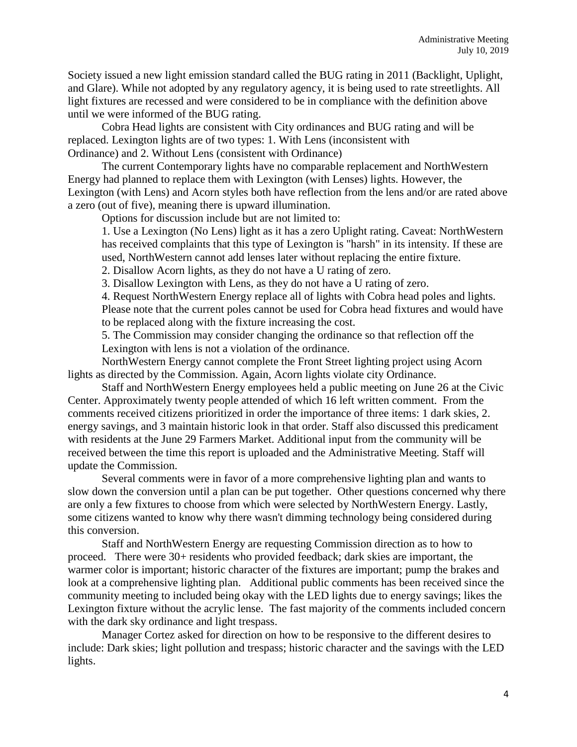Society issued a new light emission standard called the BUG rating in 2011 (Backlight, Uplight, and Glare). While not adopted by any regulatory agency, it is being used to rate streetlights. All light fixtures are recessed and were considered to be in compliance with the definition above until we were informed of the BUG rating.

Cobra Head lights are consistent with City ordinances and BUG rating and will be replaced. Lexington lights are of two types: 1. With Lens (inconsistent with Ordinance) and 2. Without Lens (consistent with Ordinance)

The current Contemporary lights have no comparable replacement and NorthWestern Energy had planned to replace them with Lexington (with Lenses) lights. However, the Lexington (with Lens) and Acorn styles both have reflection from the lens and/or are rated above a zero (out of five), meaning there is upward illumination.

Options for discussion include but are not limited to:

1. Use a Lexington (No Lens) light as it has a zero Uplight rating. Caveat: NorthWestern has received complaints that this type of Lexington is "harsh" in its intensity. If these are used, NorthWestern cannot add lenses later without replacing the entire fixture.

2. Disallow Acorn lights, as they do not have a U rating of zero.

3. Disallow Lexington with Lens, as they do not have a U rating of zero.

4. Request NorthWestern Energy replace all of lights with Cobra head poles and lights. Please note that the current poles cannot be used for Cobra head fixtures and would have to be replaced along with the fixture increasing the cost.

5. The Commission may consider changing the ordinance so that reflection off the Lexington with lens is not a violation of the ordinance.

NorthWestern Energy cannot complete the Front Street lighting project using Acorn lights as directed by the Commission. Again, Acorn lights violate city Ordinance.

Staff and NorthWestern Energy employees held a public meeting on June 26 at the Civic Center. Approximately twenty people attended of which 16 left written comment. From the comments received citizens prioritized in order the importance of three items: 1 dark skies, 2. energy savings, and 3 maintain historic look in that order. Staff also discussed this predicament with residents at the June 29 Farmers Market. Additional input from the community will be received between the time this report is uploaded and the Administrative Meeting. Staff will update the Commission.

Several comments were in favor of a more comprehensive lighting plan and wants to slow down the conversion until a plan can be put together. Other questions concerned why there are only a few fixtures to choose from which were selected by NorthWestern Energy. Lastly, some citizens wanted to know why there wasn't dimming technology being considered during this conversion.

Staff and NorthWestern Energy are requesting Commission direction as to how to proceed. There were 30+ residents who provided feedback; dark skies are important, the warmer color is important; historic character of the fixtures are important; pump the brakes and look at a comprehensive lighting plan. Additional public comments has been received since the community meeting to included being okay with the LED lights due to energy savings; likes the Lexington fixture without the acrylic lense. The fast majority of the comments included concern with the dark sky ordinance and light trespass.

Manager Cortez asked for direction on how to be responsive to the different desires to include: Dark skies; light pollution and trespass; historic character and the savings with the LED lights.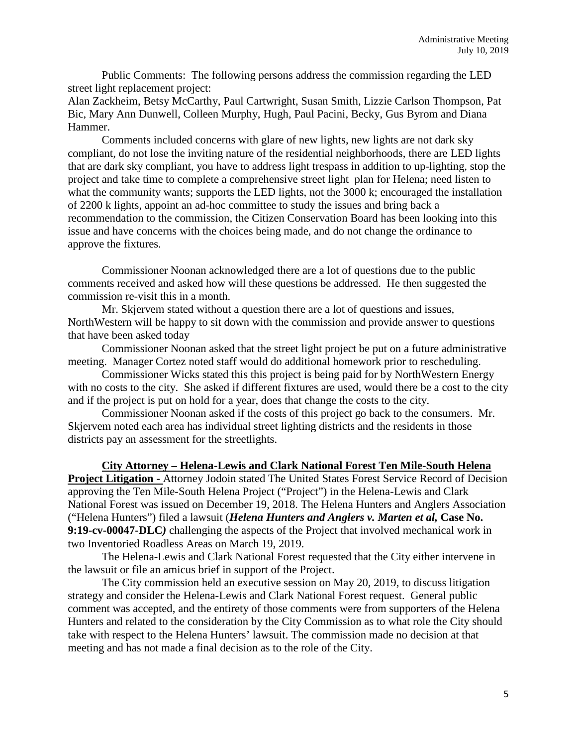Public Comments: The following persons address the commission regarding the LED street light replacement project:

Alan Zackheim, Betsy McCarthy, Paul Cartwright, Susan Smith, Lizzie Carlson Thompson, Pat Bic, Mary Ann Dunwell, Colleen Murphy, Hugh, Paul Pacini, Becky, Gus Byrom and Diana Hammer.

Comments included concerns with glare of new lights, new lights are not dark sky compliant, do not lose the inviting nature of the residential neighborhoods, there are LED lights that are dark sky compliant, you have to address light trespass in addition to up-lighting, stop the project and take time to complete a comprehensive street light plan for Helena; need listen to what the community wants; supports the LED lights, not the 3000 k; encouraged the installation of 2200 k lights, appoint an ad-hoc committee to study the issues and bring back a recommendation to the commission, the Citizen Conservation Board has been looking into this issue and have concerns with the choices being made, and do not change the ordinance to approve the fixtures.

Commissioner Noonan acknowledged there are a lot of questions due to the public comments received and asked how will these questions be addressed. He then suggested the commission re-visit this in a month.

Mr. Skjervem stated without a question there are a lot of questions and issues, NorthWestern will be happy to sit down with the commission and provide answer to questions that have been asked today

Commissioner Noonan asked that the street light project be put on a future administrative meeting. Manager Cortez noted staff would do additional homework prior to rescheduling.

Commissioner Wicks stated this this project is being paid for by NorthWestern Energy with no costs to the city. She asked if different fixtures are used, would there be a cost to the city and if the project is put on hold for a year, does that change the costs to the city.

Commissioner Noonan asked if the costs of this project go back to the consumers. Mr. Skjervem noted each area has individual street lighting districts and the residents in those districts pay an assessment for the streetlights.

#### **City Attorney – Helena-Lewis and Clark National Forest Ten Mile-South Helena**

**Project Litigation -** Attorney Jodoin stated The United States Forest Service Record of Decision approving the Ten Mile-South Helena Project ("Project") in the Helena-Lewis and Clark National Forest was issued on December 19, 2018. The Helena Hunters and Anglers Association ("Helena Hunters") filed a lawsuit (*Helena Hunters and Anglers v. Marten et al,* **Case No. 9:19-cv-00047-DLC***)* challenging the aspects of the Project that involved mechanical work in two Inventoried Roadless Areas on March 19, 2019.

The Helena-Lewis and Clark National Forest requested that the City either intervene in the lawsuit or file an amicus brief in support of the Project.

The City commission held an executive session on May 20, 2019, to discuss litigation strategy and consider the Helena-Lewis and Clark National Forest request. General public comment was accepted, and the entirety of those comments were from supporters of the Helena Hunters and related to the consideration by the City Commission as to what role the City should take with respect to the Helena Hunters' lawsuit. The commission made no decision at that meeting and has not made a final decision as to the role of the City.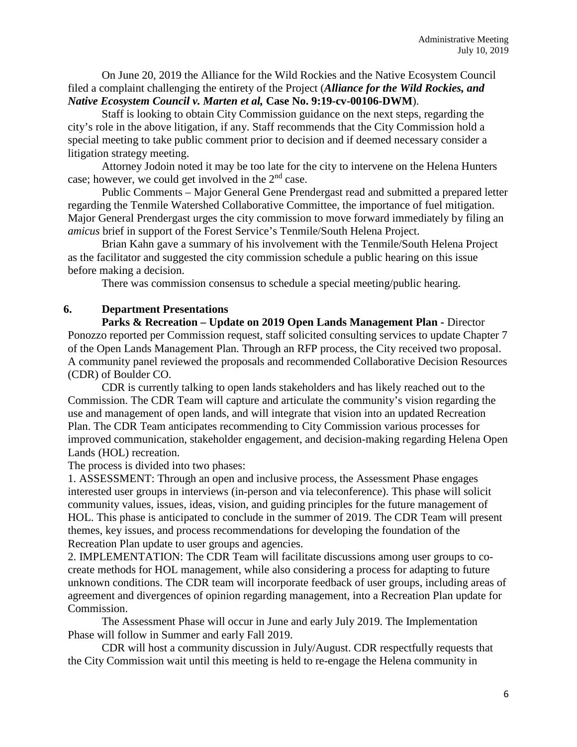On June 20, 2019 the Alliance for the Wild Rockies and the Native Ecosystem Council filed a complaint challenging the entirety of the Project (*Alliance for the Wild Rockies, and Native Ecosystem Council v. Marten et al,* **Case No. 9:19-cv-00106-DWM**).

Staff is looking to obtain City Commission guidance on the next steps, regarding the city's role in the above litigation, if any. Staff recommends that the City Commission hold a special meeting to take public comment prior to decision and if deemed necessary consider a litigation strategy meeting.

Attorney Jodoin noted it may be too late for the city to intervene on the Helena Hunters case; however, we could get involved in the 2nd case.

Public Comments – Major General Gene Prendergast read and submitted a prepared letter regarding the Tenmile Watershed Collaborative Committee, the importance of fuel mitigation. Major General Prendergast urges the city commission to move forward immediately by filing an *amicus* brief in support of the Forest Service's Tenmile/South Helena Project.

Brian Kahn gave a summary of his involvement with the Tenmile/South Helena Project as the facilitator and suggested the city commission schedule a public hearing on this issue before making a decision.

There was commission consensus to schedule a special meeting/public hearing.

## **6. Department Presentations**

**Parks & Recreation – Update on 2019 Open Lands Management Plan -** Director Ponozzo reported per Commission request, staff solicited consulting services to update Chapter 7 of the Open Lands Management Plan. Through an RFP process, the City received two proposal. A community panel reviewed the proposals and recommended Collaborative Decision Resources (CDR) of Boulder CO.

CDR is currently talking to open lands stakeholders and has likely reached out to the Commission. The CDR Team will capture and articulate the community's vision regarding the use and management of open lands, and will integrate that vision into an updated Recreation Plan. The CDR Team anticipates recommending to City Commission various processes for improved communication, stakeholder engagement, and decision-making regarding Helena Open Lands (HOL) recreation.

The process is divided into two phases:

1. ASSESSMENT: Through an open and inclusive process, the Assessment Phase engages interested user groups in interviews (in-person and via teleconference). This phase will solicit community values, issues, ideas, vision, and guiding principles for the future management of HOL. This phase is anticipated to conclude in the summer of 2019. The CDR Team will present themes, key issues, and process recommendations for developing the foundation of the Recreation Plan update to user groups and agencies.

2. IMPLEMENTATION: The CDR Team will facilitate discussions among user groups to cocreate methods for HOL management, while also considering a process for adapting to future unknown conditions. The CDR team will incorporate feedback of user groups, including areas of agreement and divergences of opinion regarding management, into a Recreation Plan update for Commission.

The Assessment Phase will occur in June and early July 2019. The Implementation Phase will follow in Summer and early Fall 2019.

CDR will host a community discussion in July/August. CDR respectfully requests that the City Commission wait until this meeting is held to re-engage the Helena community in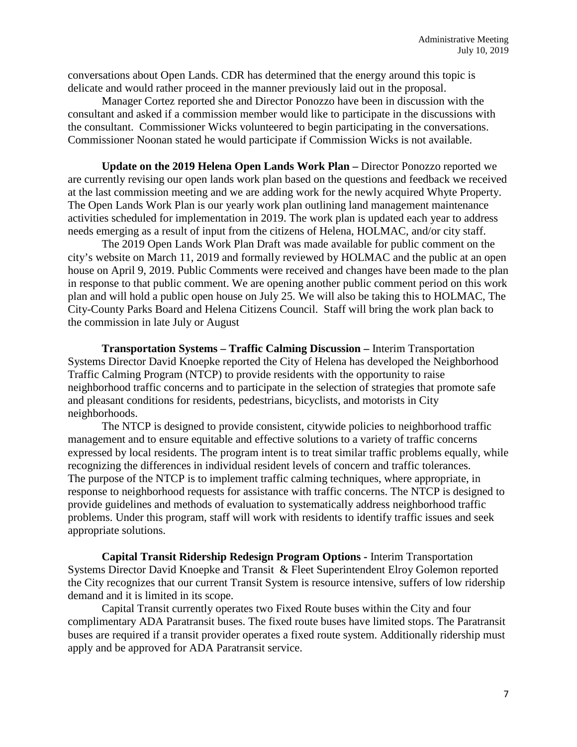conversations about Open Lands. CDR has determined that the energy around this topic is delicate and would rather proceed in the manner previously laid out in the proposal.

Manager Cortez reported she and Director Ponozzo have been in discussion with the consultant and asked if a commission member would like to participate in the discussions with the consultant. Commissioner Wicks volunteered to begin participating in the conversations. Commissioner Noonan stated he would participate if Commission Wicks is not available.

**Update on the 2019 Helena Open Lands Work Plan –** Director Ponozzo reported we are currently revising our open lands work plan based on the questions and feedback we received at the last commission meeting and we are adding work for the newly acquired Whyte Property. The Open Lands Work Plan is our yearly work plan outlining land management maintenance activities scheduled for implementation in 2019. The work plan is updated each year to address needs emerging as a result of input from the citizens of Helena, HOLMAC, and/or city staff.

The 2019 Open Lands Work Plan Draft was made available for public comment on the city's website on March 11, 2019 and formally reviewed by HOLMAC and the public at an open house on April 9, 2019. Public Comments were received and changes have been made to the plan in response to that public comment. We are opening another public comment period on this work plan and will hold a public open house on July 25. We will also be taking this to HOLMAC, The City-County Parks Board and Helena Citizens Council. Staff will bring the work plan back to the commission in late July or August

**Transportation Systems – Traffic Calming Discussion –** Interim Transportation Systems Director David Knoepke reported the City of Helena has developed the Neighborhood Traffic Calming Program (NTCP) to provide residents with the opportunity to raise neighborhood traffic concerns and to participate in the selection of strategies that promote safe and pleasant conditions for residents, pedestrians, bicyclists, and motorists in City neighborhoods.

The NTCP is designed to provide consistent, citywide policies to neighborhood traffic management and to ensure equitable and effective solutions to a variety of traffic concerns expressed by local residents. The program intent is to treat similar traffic problems equally, while recognizing the differences in individual resident levels of concern and traffic tolerances. The purpose of the NTCP is to implement traffic calming techniques, where appropriate, in response to neighborhood requests for assistance with traffic concerns. The NTCP is designed to provide guidelines and methods of evaluation to systematically address neighborhood traffic problems. Under this program, staff will work with residents to identify traffic issues and seek appropriate solutions.

**Capital Transit Ridership Redesign Program Options -** Interim Transportation Systems Director David Knoepke and Transit & Fleet Superintendent Elroy Golemon reported the City recognizes that our current Transit System is resource intensive, suffers of low ridership demand and it is limited in its scope.

Capital Transit currently operates two Fixed Route buses within the City and four complimentary ADA Paratransit buses. The fixed route buses have limited stops. The Paratransit buses are required if a transit provider operates a fixed route system. Additionally ridership must apply and be approved for ADA Paratransit service.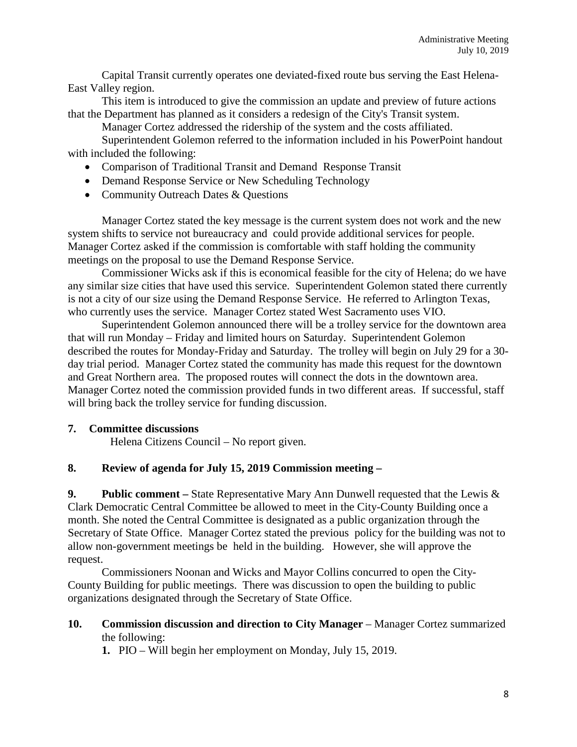Capital Transit currently operates one deviated-fixed route bus serving the East Helena-East Valley region.

This item is introduced to give the commission an update and preview of future actions that the Department has planned as it considers a redesign of the City's Transit system.

Manager Cortez addressed the ridership of the system and the costs affiliated.

Superintendent Golemon referred to the information included in his PowerPoint handout with included the following:

- Comparison of Traditional Transit and Demand Response Transit
- Demand Response Service or New Scheduling Technology
- Community Outreach Dates & Ouestions

Manager Cortez stated the key message is the current system does not work and the new system shifts to service not bureaucracy and could provide additional services for people. Manager Cortez asked if the commission is comfortable with staff holding the community meetings on the proposal to use the Demand Response Service.

Commissioner Wicks ask if this is economical feasible for the city of Helena; do we have any similar size cities that have used this service. Superintendent Golemon stated there currently is not a city of our size using the Demand Response Service. He referred to Arlington Texas, who currently uses the service. Manager Cortez stated West Sacramento uses VIO.

Superintendent Golemon announced there will be a trolley service for the downtown area that will run Monday – Friday and limited hours on Saturday. Superintendent Golemon described the routes for Monday-Friday and Saturday. The trolley will begin on July 29 for a 30 day trial period. Manager Cortez stated the community has made this request for the downtown and Great Northern area. The proposed routes will connect the dots in the downtown area. Manager Cortez noted the commission provided funds in two different areas. If successful, staff will bring back the trolley service for funding discussion.

## **7. Committee discussions**

Helena Citizens Council – No report given.

## **8. Review of agenda for July 15, 2019 Commission meeting –**

**9. Public comment –** State Representative Mary Ann Dunwell requested that the Lewis & Clark Democratic Central Committee be allowed to meet in the City-County Building once a month. She noted the Central Committee is designated as a public organization through the Secretary of State Office. Manager Cortez stated the previous policy for the building was not to allow non-government meetings be held in the building. However, she will approve the request.

Commissioners Noonan and Wicks and Mayor Collins concurred to open the City-County Building for public meetings. There was discussion to open the building to public organizations designated through the Secretary of State Office.

**10. Commission discussion and direction to City Manager** – Manager Cortez summarized the following:

**1.** PIO – Will begin her employment on Monday, July 15, 2019.